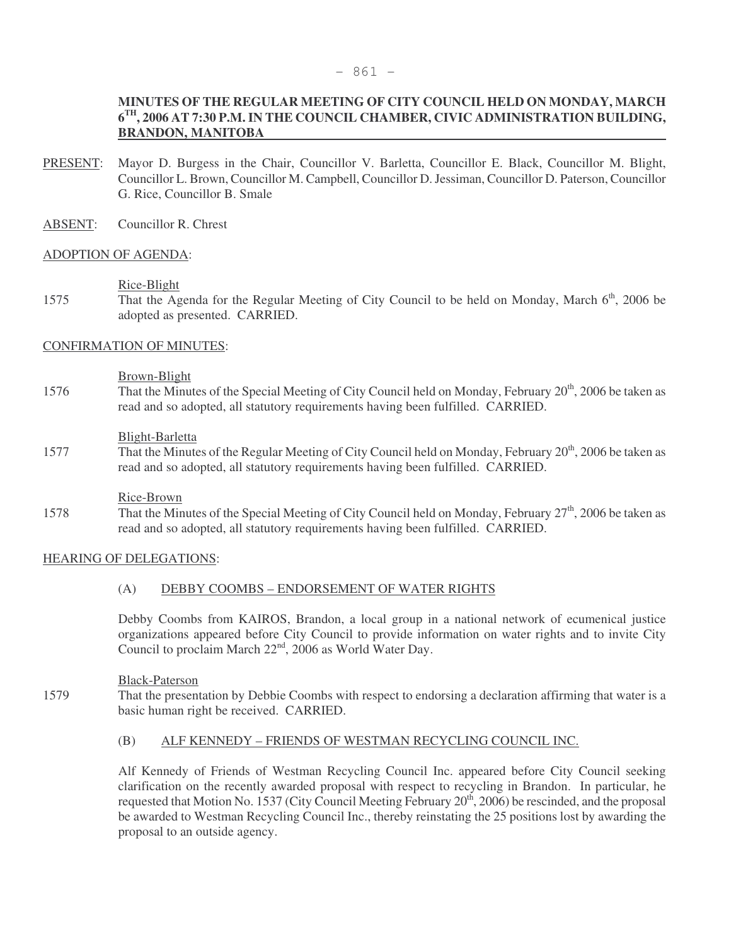#### - 861 -

# **MINUTES OF THE REGULAR MEETING OF CITY COUNCIL HELD ON MONDAY, MARCH 6 TH, 2006 AT 7:30 P.M. IN THE COUNCIL CHAMBER, CIVIC ADMINISTRATION BUILDING, BRANDON, MANITOBA**

- PRESENT: Mayor D. Burgess in the Chair, Councillor V. Barletta, Councillor E. Black, Councillor M. Blight, Councillor L. Brown, Councillor M. Campbell, Councillor D. Jessiman, Councillor D. Paterson, Councillor G. Rice, Councillor B. Smale
- ABSENT: Councillor R. Chrest

#### ADOPTION OF AGENDA:

#### Rice-Blight

1575 That the Agenda for the Regular Meeting of City Council to be held on Monday, March 6<sup>th</sup>, 2006 be adopted as presented. CARRIED.

# CONFIRMATION OF MINUTES:

#### Brown-Blight

1576 That the Minutes of the Special Meeting of City Council held on Monday, February 20<sup>th</sup>, 2006 be taken as read and so adopted, all statutory requirements having been fulfilled. CARRIED.

#### Blight-Barletta

1577 That the Minutes of the Regular Meeting of City Council held on Monday, February 20<sup>th</sup>, 2006 be taken as read and so adopted, all statutory requirements having been fulfilled. CARRIED.

#### Rice-Brown

1578 That the Minutes of the Special Meeting of City Council held on Monday, February 27<sup>th</sup>, 2006 be taken as read and so adopted, all statutory requirements having been fulfilled. CARRIED.

# HEARING OF DELEGATIONS:

# (A) DEBBY COOMBS – ENDORSEMENT OF WATER RIGHTS

Debby Coombs from KAIROS, Brandon, a local group in a national network of ecumenical justice organizations appeared before City Council to provide information on water rights and to invite City Council to proclaim March 22nd, 2006 as World Water Day.

#### Black-Paterson

1579 That the presentation by Debbie Coombs with respect to endorsing a declaration affirming that water is a basic human right be received. CARRIED.

# (B) ALF KENNEDY – FRIENDS OF WESTMAN RECYCLING COUNCIL INC.

Alf Kennedy of Friends of Westman Recycling Council Inc. appeared before City Council seeking clarification on the recently awarded proposal with respect to recycling in Brandon. In particular, he requested that Motion No. 1537 (City Council Meeting February 20<sup>th</sup>, 2006) be rescinded, and the proposal be awarded to Westman Recycling Council Inc., thereby reinstating the 25 positions lost by awarding the proposal to an outside agency.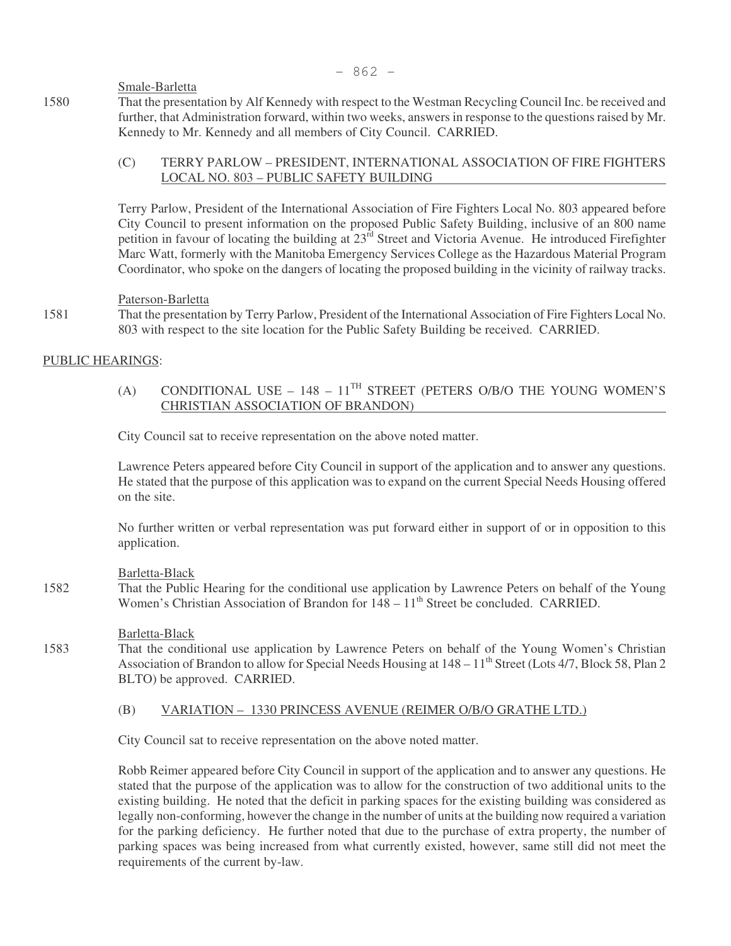Smale-Barletta

1580 That the presentation by Alf Kennedy with respect to the Westman Recycling Council Inc. be received and further, that Administration forward, within two weeks, answers in response to the questions raised by Mr. Kennedy to Mr. Kennedy and all members of City Council. CARRIED.

# (C) TERRY PARLOW – PRESIDENT, INTERNATIONAL ASSOCIATION OF FIRE FIGHTERS LOCAL NO. 803 – PUBLIC SAFETY BUILDING

Terry Parlow, President of the International Association of Fire Fighters Local No. 803 appeared before City Council to present information on the proposed Public Safety Building, inclusive of an 800 name petition in favour of locating the building at  $23<sup>rd</sup>$  Street and Victoria Avenue. He introduced Firefighter Marc Watt, formerly with the Manitoba Emergency Services College as the Hazardous Material Program Coordinator, who spoke on the dangers of locating the proposed building in the vicinity of railway tracks.

# Paterson-Barletta

1581 That the presentation by Terry Parlow, President of the International Association of Fire Fighters Local No. 803 with respect to the site location for the Public Safety Building be received. CARRIED.

# PUBLIC HEARINGS:

# (A) CONDITIONAL USE – 148 –  $11^{TH}$  STREET (PETERS O/B/O THE YOUNG WOMEN'S CHRISTIAN ASSOCIATION OF BRANDON)

City Council sat to receive representation on the above noted matter.

Lawrence Peters appeared before City Council in support of the application and to answer any questions. He stated that the purpose of this application was to expand on the current Special Needs Housing offered on the site.

No further written or verbal representation was put forward either in support of or in opposition to this application.

# Barletta-Black

1582 That the Public Hearing for the conditional use application by Lawrence Peters on behalf of the Young Women's Christian Association of Brandon for  $148 - 11<sup>th</sup>$  Street be concluded. CARRIED.

# Barletta-Black

1583 That the conditional use application by Lawrence Peters on behalf of the Young Women's Christian Association of Brandon to allow for Special Needs Housing at  $148 - 11^{th}$  Street (Lots 4/7, Block 58, Plan 2 BLTO) be approved. CARRIED.

# (B) VARIATION – 1330 PRINCESS AVENUE (REIMER O/B/O GRATHE LTD.)

City Council sat to receive representation on the above noted matter.

Robb Reimer appeared before City Council in support of the application and to answer any questions. He stated that the purpose of the application was to allow for the construction of two additional units to the existing building. He noted that the deficit in parking spaces for the existing building was considered as legally non-conforming, however the change in the number of units at the building now required a variation for the parking deficiency. He further noted that due to the purchase of extra property, the number of parking spaces was being increased from what currently existed, however, same still did not meet the requirements of the current by-law.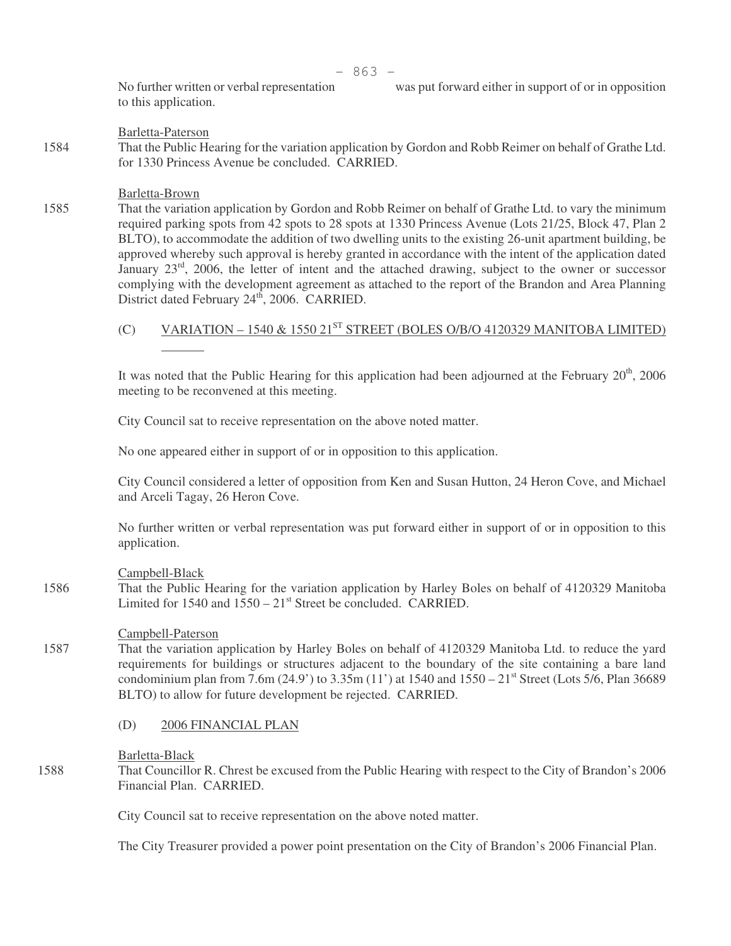to this application.

#### Barletta-Paterson

1584 That the Public Hearing for the variation application by Gordon and Robb Reimer on behalf of Grathe Ltd. for 1330 Princess Avenue be concluded. CARRIED.

#### Barletta-Brown

1585 That the variation application by Gordon and Robb Reimer on behalf of Grathe Ltd. to vary the minimum required parking spots from 42 spots to 28 spots at 1330 Princess Avenue (Lots 21/25, Block 47, Plan 2 BLTO), to accommodate the addition of two dwelling units to the existing 26-unit apartment building, be approved whereby such approval is hereby granted in accordance with the intent of the application dated January 23<sup>rd</sup>, 2006, the letter of intent and the attached drawing, subject to the owner or successor complying with the development agreement as attached to the report of the Brandon and Area Planning District dated February 24<sup>th</sup>, 2006. CARRIED.

# (C) VARIATION – 1540  $\&$  1550 21<sup>st</sup> STREET (BOLES O/B/O 4120329 MANITOBA LIMITED)

It was noted that the Public Hearing for this application had been adjourned at the February  $20<sup>th</sup>$ , 2006 meeting to be reconvened at this meeting.

City Council sat to receive representation on the above noted matter.

No one appeared either in support of or in opposition to this application.

City Council considered a letter of opposition from Ken and Susan Hutton, 24 Heron Cove, and Michael and Arceli Tagay, 26 Heron Cove.

No further written or verbal representation was put forward either in support of or in opposition to this application.

#### Campbell-Black

1586 That the Public Hearing for the variation application by Harley Boles on behalf of 4120329 Manitoba Limited for  $1540$  and  $1550 - 21$ <sup>st</sup> Street be concluded. CARRIED.

#### Campbell-Paterson

- 1587 That the variation application by Harley Boles on behalf of 4120329 Manitoba Ltd. to reduce the yard requirements for buildings or structures adjacent to the boundary of the site containing a bare land condominium plan from 7.6m (24.9') to 3.35m (11') at 1540 and  $1550 - 21$ <sup>st</sup> Street (Lots 5/6, Plan 36689 BLTO) to allow for future development be rejected. CARRIED.
	- (D) 2006 FINANCIAL PLAN

#### Barletta-Black

1588 That Councillor R. Chrest be excused from the Public Hearing with respect to the City of Brandon's 2006 Financial Plan. CARRIED.

City Council sat to receive representation on the above noted matter.

The City Treasurer provided a power point presentation on the City of Brandon's 2006 Financial Plan.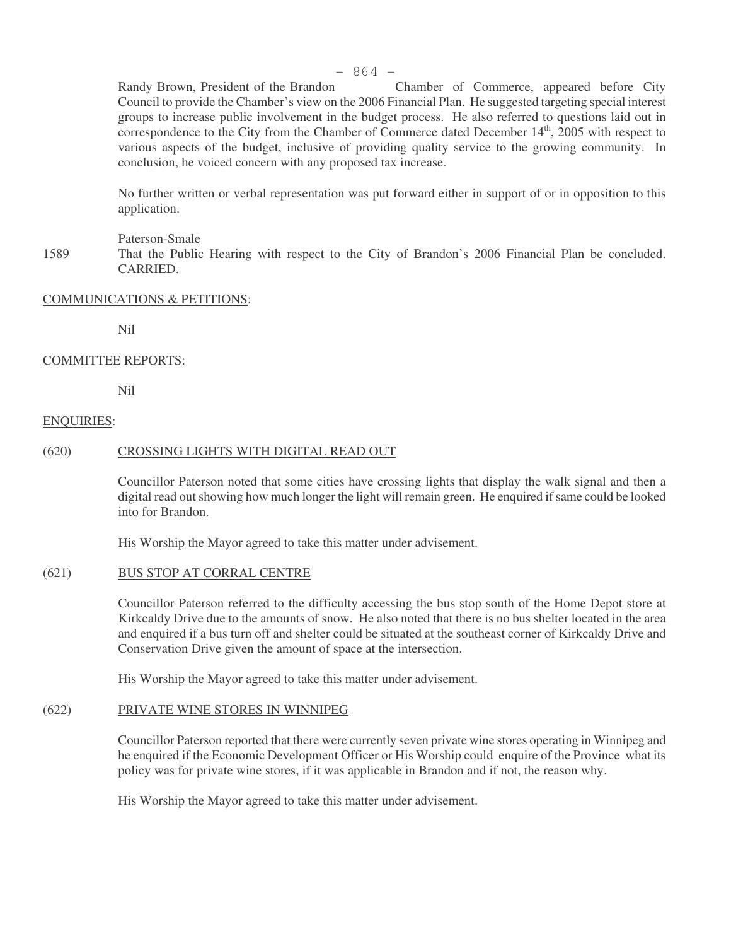Randy Brown, President of the Brandon Chamber of Commerce, appeared before City Council to provide the Chamber's view on the 2006 Financial Plan. He suggested targeting special interest groups to increase public involvement in the budget process. He also referred to questions laid out in correspondence to the City from the Chamber of Commerce dated December  $14<sup>th</sup>$ , 2005 with respect to various aspects of the budget, inclusive of providing quality service to the growing community. In conclusion, he voiced concern with any proposed tax increase.

No further written or verbal representation was put forward either in support of or in opposition to this application.

#### Paterson-Smale

1589 That the Public Hearing with respect to the City of Brandon's 2006 Financial Plan be concluded. CARRIED.

#### COMMUNICATIONS & PETITIONS:

Nil

#### COMMITTEE REPORTS:

Nil

#### ENQUIRIES:

# (620) CROSSING LIGHTS WITH DIGITAL READ OUT

Councillor Paterson noted that some cities have crossing lights that display the walk signal and then a digital read out showing how much longer the light will remain green. He enquired if same could be looked into for Brandon.

His Worship the Mayor agreed to take this matter under advisement.

#### (621) BUS STOP AT CORRAL CENTRE

Councillor Paterson referred to the difficulty accessing the bus stop south of the Home Depot store at Kirkcaldy Drive due to the amounts of snow. He also noted that there is no bus shelter located in the area and enquired if a bus turn off and shelter could be situated at the southeast corner of Kirkcaldy Drive and Conservation Drive given the amount of space at the intersection.

His Worship the Mayor agreed to take this matter under advisement.

# (622) PRIVATE WINE STORES IN WINNIPEG

Councillor Paterson reported that there were currently seven private wine stores operating in Winnipeg and he enquired if the Economic Development Officer or His Worship could enquire of the Province what its policy was for private wine stores, if it was applicable in Brandon and if not, the reason why.

His Worship the Mayor agreed to take this matter under advisement.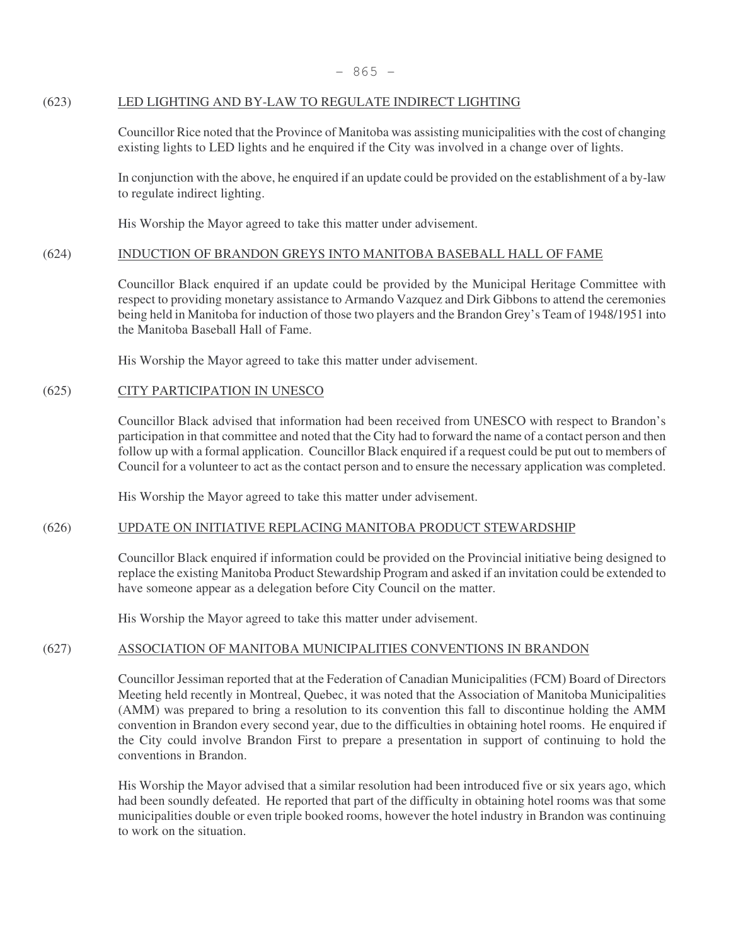# (623) LED LIGHTING AND BY-LAW TO REGULATE INDIRECT LIGHTING

Councillor Rice noted that the Province of Manitoba was assisting municipalities with the cost of changing existing lights to LED lights and he enquired if the City was involved in a change over of lights.

In conjunction with the above, he enquired if an update could be provided on the establishment of a by-law to regulate indirect lighting.

His Worship the Mayor agreed to take this matter under advisement.

# (624) INDUCTION OF BRANDON GREYS INTO MANITOBA BASEBALL HALL OF FAME

Councillor Black enquired if an update could be provided by the Municipal Heritage Committee with respect to providing monetary assistance to Armando Vazquez and Dirk Gibbons to attend the ceremonies being held in Manitoba for induction of those two players and the Brandon Grey's Team of 1948/1951 into the Manitoba Baseball Hall of Fame.

His Worship the Mayor agreed to take this matter under advisement.

# (625) CITY PARTICIPATION IN UNESCO

Councillor Black advised that information had been received from UNESCO with respect to Brandon's participation in that committee and noted that the City had to forward the name of a contact person and then follow up with a formal application. Councillor Black enquired if a request could be put out to members of Council for a volunteer to act as the contact person and to ensure the necessary application was completed.

His Worship the Mayor agreed to take this matter under advisement.

# (626) UPDATE ON INITIATIVE REPLACING MANITOBA PRODUCT STEWARDSHIP

Councillor Black enquired if information could be provided on the Provincial initiative being designed to replace the existing Manitoba Product Stewardship Program and asked if an invitation could be extended to have someone appear as a delegation before City Council on the matter.

His Worship the Mayor agreed to take this matter under advisement.

# (627) ASSOCIATION OF MANITOBA MUNICIPALITIES CONVENTIONS IN BRANDON

Councillor Jessiman reported that at the Federation of Canadian Municipalities (FCM) Board of Directors Meeting held recently in Montreal, Quebec, it was noted that the Association of Manitoba Municipalities (AMM) was prepared to bring a resolution to its convention this fall to discontinue holding the AMM convention in Brandon every second year, due to the difficulties in obtaining hotel rooms. He enquired if the City could involve Brandon First to prepare a presentation in support of continuing to hold the conventions in Brandon.

His Worship the Mayor advised that a similar resolution had been introduced five or six years ago, which had been soundly defeated. He reported that part of the difficulty in obtaining hotel rooms was that some municipalities double or even triple booked rooms, however the hotel industry in Brandon was continuing to work on the situation.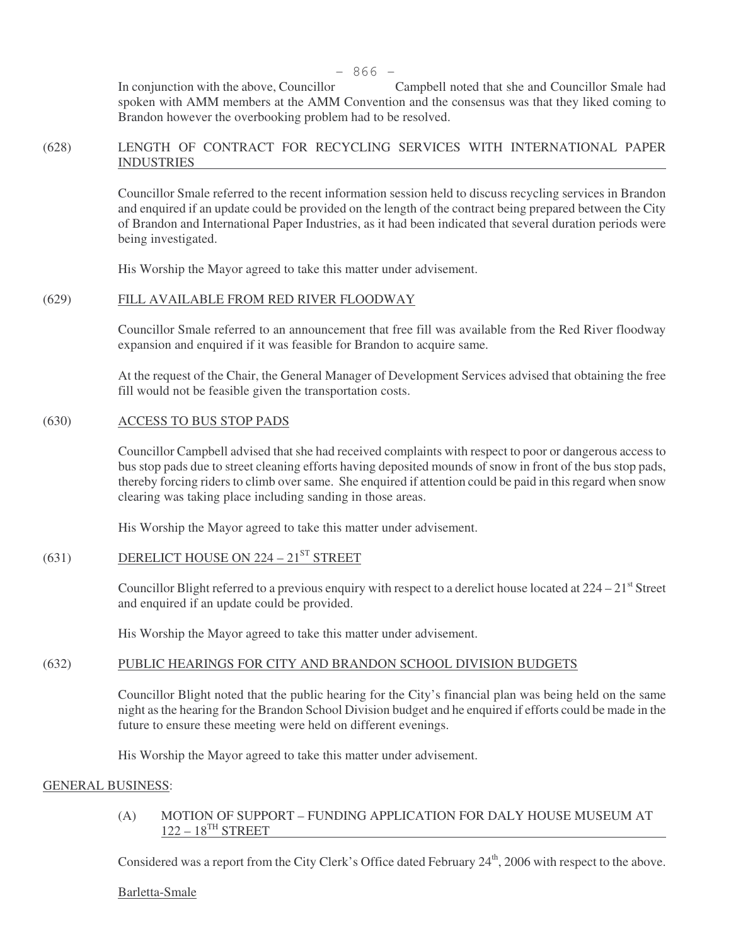In conjunction with the above, Councillor Campbell noted that she and Councillor Smale had spoken with AMM members at the AMM Convention and the consensus was that they liked coming to Brandon however the overbooking problem had to be resolved.

# (628) LENGTH OF CONTRACT FOR RECYCLING SERVICES WITH INTERNATIONAL PAPER INDUSTRIES

Councillor Smale referred to the recent information session held to discuss recycling services in Brandon and enquired if an update could be provided on the length of the contract being prepared between the City of Brandon and International Paper Industries, as it had been indicated that several duration periods were being investigated.

His Worship the Mayor agreed to take this matter under advisement.

# (629) FILL AVAILABLE FROM RED RIVER FLOODWAY

Councillor Smale referred to an announcement that free fill was available from the Red River floodway expansion and enquired if it was feasible for Brandon to acquire same.

At the request of the Chair, the General Manager of Development Services advised that obtaining the free fill would not be feasible given the transportation costs.

#### (630) ACCESS TO BUS STOP PADS

Councillor Campbell advised that she had received complaints with respect to poor or dangerous access to bus stop pads due to street cleaning efforts having deposited mounds of snow in front of the bus stop pads, thereby forcing riders to climb over same. She enquired if attention could be paid in this regard when snow clearing was taking place including sanding in those areas.

His Worship the Mayor agreed to take this matter under advisement.

# $(631)$  DERELICT HOUSE ON 224 – 21<sup>ST</sup> STREET

Councillor Blight referred to a previous enquiry with respect to a derelict house located at  $224 - 21$ <sup>st</sup> Street and enquired if an update could be provided.

His Worship the Mayor agreed to take this matter under advisement.

# (632) PUBLIC HEARINGS FOR CITY AND BRANDON SCHOOL DIVISION BUDGETS

Councillor Blight noted that the public hearing for the City's financial plan was being held on the same night as the hearing for the Brandon School Division budget and he enquired if efforts could be made in the future to ensure these meeting were held on different evenings.

His Worship the Mayor agreed to take this matter under advisement.

#### GENERAL BUSINESS:

# (A) MOTION OF SUPPORT – FUNDING APPLICATION FOR DALY HOUSE MUSEUM AT  $122 - 18$ <sup>TH</sup> STREET

Considered was a report from the City Clerk's Office dated February 24<sup>th</sup>, 2006 with respect to the above.

#### Barletta-Smale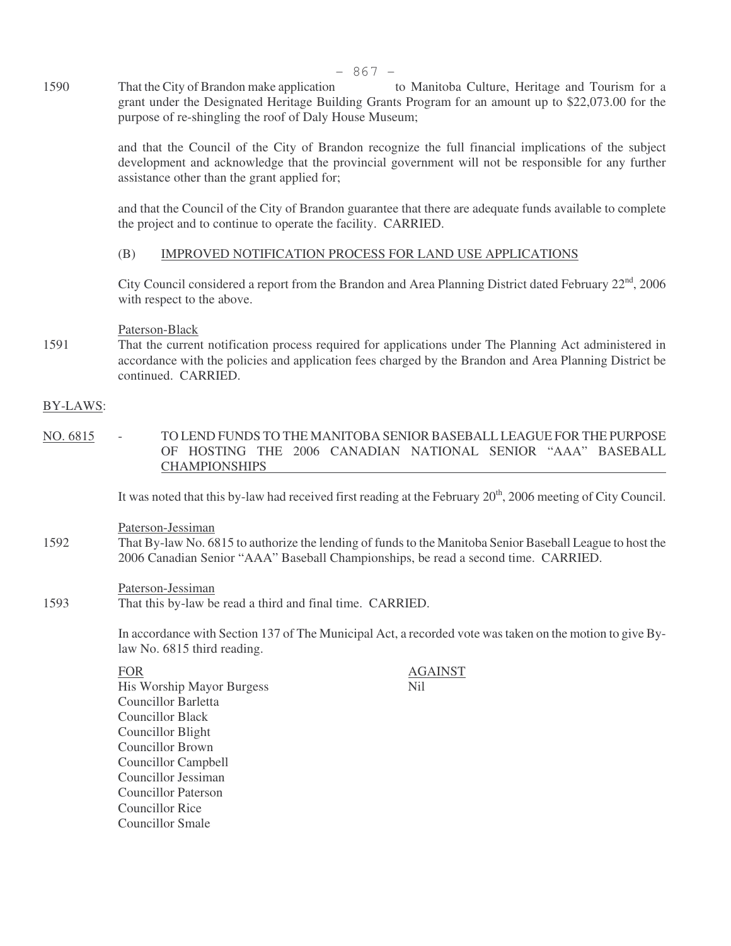1590 That the City of Brandon make application to Manitoba Culture, Heritage and Tourism for a grant under the Designated Heritage Building Grants Program for an amount up to \$22,073.00 for the purpose of re-shingling the roof of Daly House Museum;

> and that the Council of the City of Brandon recognize the full financial implications of the subject development and acknowledge that the provincial government will not be responsible for any further assistance other than the grant applied for;

> and that the Council of the City of Brandon guarantee that there are adequate funds available to complete the project and to continue to operate the facility. CARRIED.

# (B) IMPROVED NOTIFICATION PROCESS FOR LAND USE APPLICATIONS

City Council considered a report from the Brandon and Area Planning District dated February 22<sup>nd</sup>, 2006 with respect to the above.

#### Paterson-Black

1591 That the current notification process required for applications under The Planning Act administered in accordance with the policies and application fees charged by the Brandon and Area Planning District be continued. CARRIED.

#### BY-LAWS:

NO. 6815 - TO LEND FUNDS TO THE MANITOBA SENIOR BASEBALL LEAGUE FOR THE PURPOSE OF HOSTING THE 2006 CANADIAN NATIONAL SENIOR "AAA" BASEBALL CHAMPIONSHIPS

It was noted that this by-law had received first reading at the February 20<sup>th</sup>, 2006 meeting of City Council.

- Paterson-Jessiman
- 1592 That By-law No. 6815 to authorize the lending of funds to the Manitoba Senior Baseball League to host the 2006 Canadian Senior "AAA" Baseball Championships, be read a second time. CARRIED.

Paterson-Jessiman

1593 That this by-law be read a third and final time. CARRIED.

In accordance with Section 137 of The Municipal Act, a recorded vote was taken on the motion to give Bylaw No. 6815 third reading.

His Worship Mayor Burgess Nil Councillor Barletta Councillor Black Councillor Blight Councillor Brown Councillor Campbell Councillor Jessiman Councillor Paterson Councillor Rice Councillor Smale

FOR AGAINST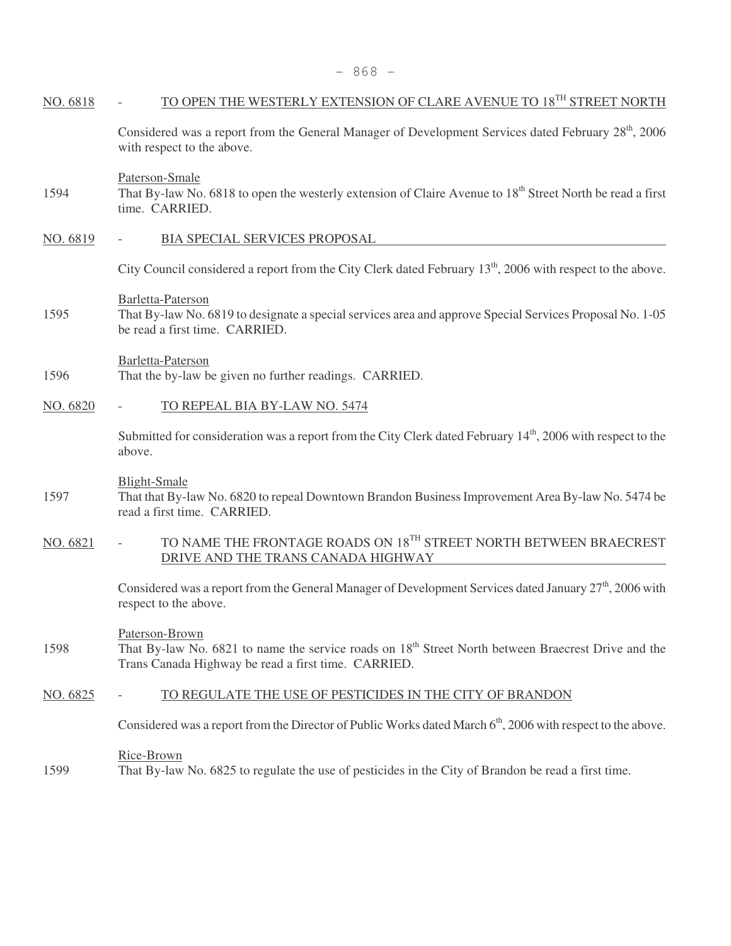| NO. 6818 | TO OPEN THE WESTERLY EXTENSION OF CLARE AVENUE TO 18 <sup>TH</sup> STREET NORTH                                                                                                          |
|----------|------------------------------------------------------------------------------------------------------------------------------------------------------------------------------------------|
|          | Considered was a report from the General Manager of Development Services dated February 28 <sup>th</sup> , 2006<br>with respect to the above.                                            |
| 1594     | Paterson-Smale<br>That By-law No. 6818 to open the westerly extension of Claire Avenue to 18 <sup>th</sup> Street North be read a first<br>time. CARRIED.                                |
| NO. 6819 | BIA SPECIAL SERVICES PROPOSAL                                                                                                                                                            |
|          | City Council considered a report from the City Clerk dated February 13 <sup>th</sup> , 2006 with respect to the above.                                                                   |
| 1595     | Barletta-Paterson<br>That By-law No. 6819 to designate a special services area and approve Special Services Proposal No. 1-05<br>be read a first time. CARRIED.                          |
| 1596     | Barletta-Paterson<br>That the by-law be given no further readings. CARRIED.                                                                                                              |
| NO. 6820 | TO REPEAL BIA BY-LAW NO. 5474                                                                                                                                                            |
|          | Submitted for consideration was a report from the City Clerk dated February 14 <sup>th</sup> , 2006 with respect to the<br>above.                                                        |
| 1597     | <b>Blight-Smale</b><br>That that By-law No. 6820 to repeal Downtown Brandon Business Improvement Area By-law No. 5474 be<br>read a first time. CARRIED.                                  |
| NO. 6821 | TO NAME THE FRONTAGE ROADS ON $18^{\mathrm{TH}}$ STREET NORTH BETWEEN BRAECREST<br>DRIVE AND THE TRANS CANADA HIGHWAY                                                                    |
|          | Considered was a report from the General Manager of Development Services dated January 27 <sup>th</sup> , 2006 with<br>respect to the above.                                             |
| 1598     | Paterson-Brown<br>That By-law No. 6821 to name the service roads on 18 <sup>th</sup> Street North between Braecrest Drive and the<br>Trans Canada Highway be read a first time. CARRIED. |
| NO. 6825 | TO REGULATE THE USE OF PESTICIDES IN THE CITY OF BRANDON                                                                                                                                 |
|          | Considered was a report from the Director of Public Works dated March 6 <sup>th</sup> , 2006 with respect to the above.                                                                  |
| 1599     | Rice-Brown<br>That By-law No. 6825 to regulate the use of pesticides in the City of Brandon be read a first time.                                                                        |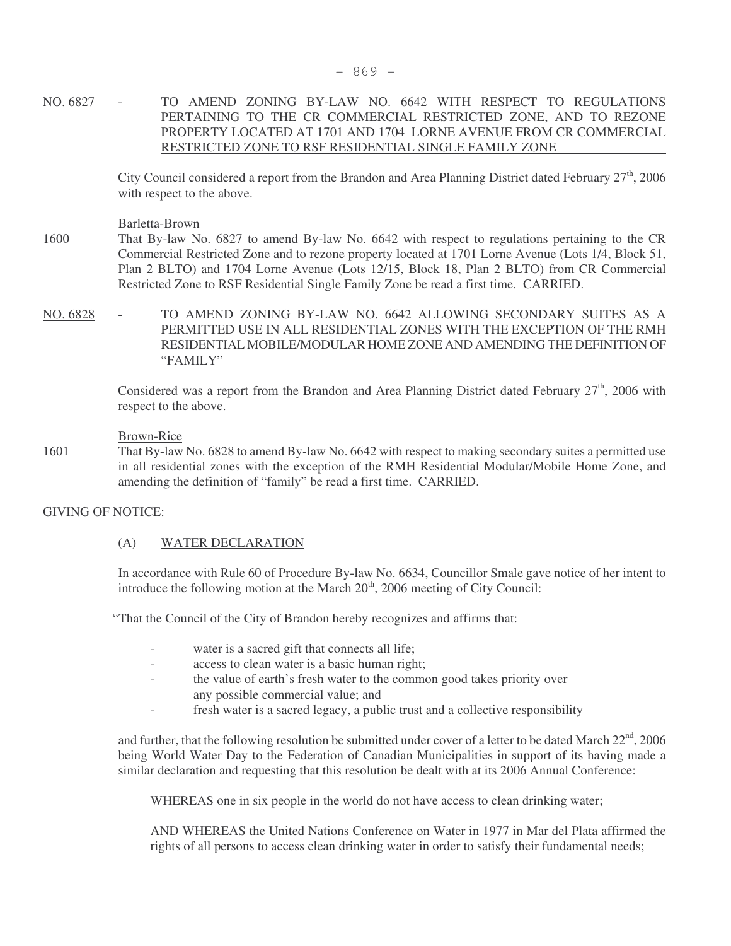# NO. 6827 - TO AMEND ZONING BY-LAW NO. 6642 WITH RESPECT TO REGULATIONS PERTAINING TO THE CR COMMERCIAL RESTRICTED ZONE, AND TO REZONE PROPERTY LOCATED AT 1701 AND 1704 LORNE AVENUE FROM CR COMMERCIAL RESTRICTED ZONE TO RSF RESIDENTIAL SINGLE FAMILY ZONE

City Council considered a report from the Brandon and Area Planning District dated February  $27<sup>th</sup>$ , 2006 with respect to the above.

#### Barletta-Brown

1600 That By-law No. 6827 to amend By-law No. 6642 with respect to regulations pertaining to the CR Commercial Restricted Zone and to rezone property located at 1701 Lorne Avenue (Lots 1/4, Block 51, Plan 2 BLTO) and 1704 Lorne Avenue (Lots 12/15, Block 18, Plan 2 BLTO) from CR Commercial Restricted Zone to RSF Residential Single Family Zone be read a first time. CARRIED.

NO. 6828 - TO AMEND ZONING BY-LAW NO. 6642 ALLOWING SECONDARY SUITES AS A PERMITTED USE IN ALL RESIDENTIAL ZONES WITH THE EXCEPTION OF THE RMH RESIDENTIAL MOBILE/MODULAR HOME ZONE AND AMENDING THE DEFINITION OF "FAMILY"

> Considered was a report from the Brandon and Area Planning District dated February  $27<sup>th</sup>$ , 2006 with respect to the above.

#### Brown-Rice

1601 That By-law No. 6828 to amend By-law No. 6642 with respect to making secondary suites a permitted use in all residential zones with the exception of the RMH Residential Modular/Mobile Home Zone, and amending the definition of "family" be read a first time. CARRIED.

# GIVING OF NOTICE:

# (A) WATER DECLARATION

In accordance with Rule 60 of Procedure By-law No. 6634, Councillor Smale gave notice of her intent to introduce the following motion at the March  $20<sup>th</sup>$ , 2006 meeting of City Council:

"That the Council of the City of Brandon hereby recognizes and affirms that:

- water is a sacred gift that connects all life;
- access to clean water is a basic human right;
- the value of earth's fresh water to the common good takes priority over any possible commercial value; and
- fresh water is a sacred legacy, a public trust and a collective responsibility

and further, that the following resolution be submitted under cover of a letter to be dated March  $22<sup>nd</sup>$ , 2006 being World Water Day to the Federation of Canadian Municipalities in support of its having made a similar declaration and requesting that this resolution be dealt with at its 2006 Annual Conference:

WHEREAS one in six people in the world do not have access to clean drinking water;

AND WHEREAS the United Nations Conference on Water in 1977 in Mar del Plata affirmed the rights of all persons to access clean drinking water in order to satisfy their fundamental needs;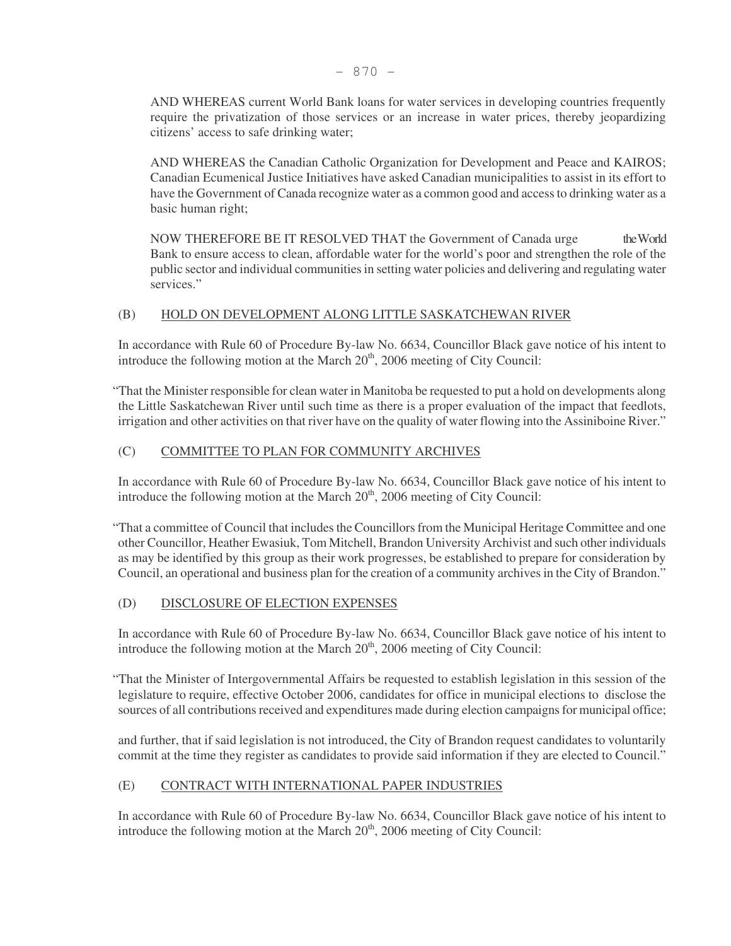AND WHEREAS current World Bank loans for water services in developing countries frequently require the privatization of those services or an increase in water prices, thereby jeopardizing citizens' access to safe drinking water;

AND WHEREAS the Canadian Catholic Organization for Development and Peace and KAIROS; Canadian Ecumenical Justice Initiatives have asked Canadian municipalities to assist in its effort to have the Government of Canada recognize water as a common good and access to drinking water as a basic human right;

NOW THEREFORE BE IT RESOLVED THAT the Government of Canada urge the World Bank to ensure access to clean, affordable water for the world's poor and strengthen the role of the public sector and individual communities in setting water policies and delivering and regulating water services."

# (B) HOLD ON DEVELOPMENT ALONG LITTLE SASKATCHEWAN RIVER

In accordance with Rule 60 of Procedure By-law No. 6634, Councillor Black gave notice of his intent to introduce the following motion at the March  $20<sup>th</sup>$ ,  $2006$  meeting of City Council:

"That the Minister responsible for clean water in Manitoba be requested to put a hold on developments along the Little Saskatchewan River until such time as there is a proper evaluation of the impact that feedlots, irrigation and other activities on that river have on the quality of water flowing into the Assiniboine River."

# (C) COMMITTEE TO PLAN FOR COMMUNITY ARCHIVES

In accordance with Rule 60 of Procedure By-law No. 6634, Councillor Black gave notice of his intent to introduce the following motion at the March  $20<sup>th</sup>$ , 2006 meeting of City Council:

"That a committee of Council that includes the Councillors from the Municipal Heritage Committee and one other Councillor, Heather Ewasiuk, Tom Mitchell, Brandon University Archivist and such other individuals as may be identified by this group as their work progresses, be established to prepare for consideration by Council, an operational and business plan for the creation of a community archives in the City of Brandon."

# (D) DISCLOSURE OF ELECTION EXPENSES

In accordance with Rule 60 of Procedure By-law No. 6634, Councillor Black gave notice of his intent to introduce the following motion at the March  $20<sup>th</sup>$ , 2006 meeting of City Council:

"That the Minister of Intergovernmental Affairs be requested to establish legislation in this session of the legislature to require, effective October 2006, candidates for office in municipal elections to disclose the sources of all contributions received and expenditures made during election campaigns for municipal office;

and further, that if said legislation is not introduced, the City of Brandon request candidates to voluntarily commit at the time they register as candidates to provide said information if they are elected to Council."

# (E) CONTRACT WITH INTERNATIONAL PAPER INDUSTRIES

In accordance with Rule 60 of Procedure By-law No. 6634, Councillor Black gave notice of his intent to introduce the following motion at the March  $20<sup>th</sup>$ , 2006 meeting of City Council: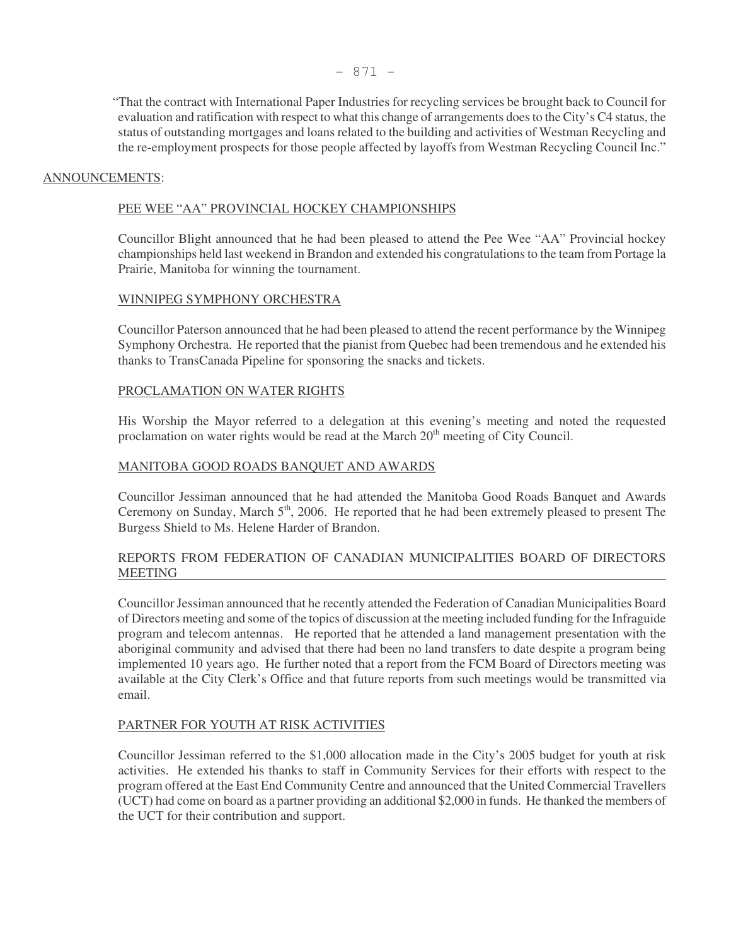"That the contract with International Paper Industries for recycling services be brought back to Council for evaluation and ratification with respect to what this change of arrangements does to the City's C4 status, the status of outstanding mortgages and loans related to the building and activities of Westman Recycling and the re-employment prospects for those people affected by layoffs from Westman Recycling Council Inc."

# ANNOUNCEMENTS:

#### PEE WEE "AA" PROVINCIAL HOCKEY CHAMPIONSHIPS

Councillor Blight announced that he had been pleased to attend the Pee Wee "AA" Provincial hockey championships held last weekend in Brandon and extended his congratulations to the team from Portage la Prairie, Manitoba for winning the tournament.

#### WINNIPEG SYMPHONY ORCHESTRA

Councillor Paterson announced that he had been pleased to attend the recent performance by the Winnipeg Symphony Orchestra. He reported that the pianist from Quebec had been tremendous and he extended his thanks to TransCanada Pipeline for sponsoring the snacks and tickets.

#### PROCLAMATION ON WATER RIGHTS

His Worship the Mayor referred to a delegation at this evening's meeting and noted the requested proclamation on water rights would be read at the March  $20<sup>th</sup>$  meeting of City Council.

#### MANITOBA GOOD ROADS BANQUET AND AWARDS

Councillor Jessiman announced that he had attended the Manitoba Good Roads Banquet and Awards Ceremony on Sunday, March 5<sup>th</sup>, 2006. He reported that he had been extremely pleased to present The Burgess Shield to Ms. Helene Harder of Brandon.

# REPORTS FROM FEDERATION OF CANADIAN MUNICIPALITIES BOARD OF DIRECTORS MEETING

Councillor Jessiman announced that he recently attended the Federation of Canadian Municipalities Board of Directors meeting and some of the topics of discussion at the meeting included funding for the Infraguide program and telecom antennas. He reported that he attended a land management presentation with the aboriginal community and advised that there had been no land transfers to date despite a program being implemented 10 years ago. He further noted that a report from the FCM Board of Directors meeting was available at the City Clerk's Office and that future reports from such meetings would be transmitted via email.

#### PARTNER FOR YOUTH AT RISK ACTIVITIES

Councillor Jessiman referred to the \$1,000 allocation made in the City's 2005 budget for youth at risk activities. He extended his thanks to staff in Community Services for their efforts with respect to the program offered at the East End Community Centre and announced that the United Commercial Travellers (UCT) had come on board as a partner providing an additional \$2,000 in funds. He thanked the members of the UCT for their contribution and support.